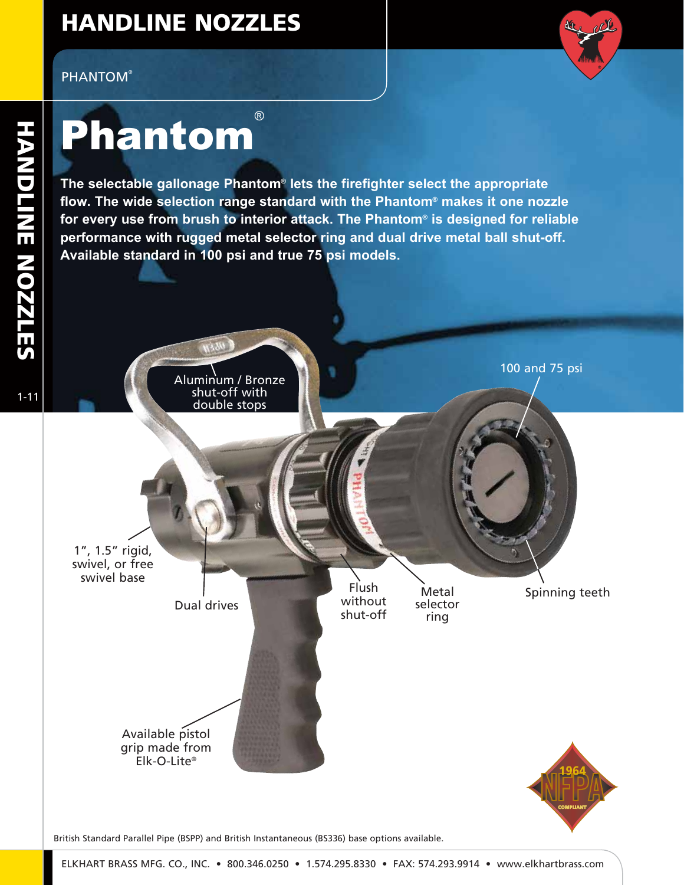## HANDLINE NOZZLES



## **Phantom®**

**The selectable gallonage Phantom® lets the firefighter select the appropriate flow. The wide selection range standard with the Phantom® makes it one nozzle for every use from brush to interior attack. The Phantom® is designed for reliable performance with rugged metal selector ring and dual drive metal ball shut-off. Available standard in 100 psi and true 75 psi models.**



Available pistol grip made from Elk-O-Lite®



Metal

ring



Spinning teeth

100 and 75 psi

British Standard Parallel Pipe (BSPP) and British Instantaneous (BS336) base options available.